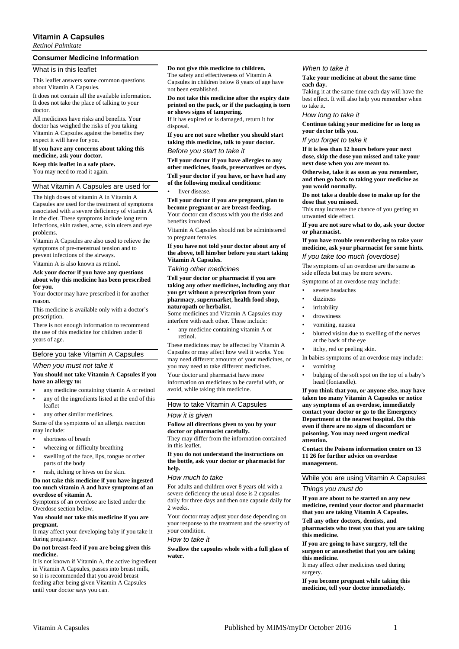# **Vitamin A Capsules**

*Retinol Palmitate*

## **Consumer Medicine Information**

## What is in this leaflet

This leaflet answers some common questions about Vitamin A Capsules.

It does not contain all the available information. It does not take the place of talking to your doctor.

All medicines have risks and benefits. Your doctor has weighed the risks of you taking Vitamin A Capsules against the benefits they expect it will have for you.

## **If you have any concerns about taking this medicine, ask your doctor.**

**Keep this leaflet in a safe place.** You may need to read it again.

# What Vitamin A Capsules are used for

The high doses of vitamin A in Vitamin A Capsules are used for the treatment of symptoms associated with a severe deficiency of vitamin A in the diet. These symptoms include long term infections, skin rashes, acne, skin ulcers and eye problems.

Vitamin A Capsules are also used to relieve the symptoms of pre-menstrual tension and to prevent infections of the airways.

Vitamin A is also known as retinol.

#### **Ask your doctor if you have any questions about why this medicine has been prescribed for you.**

Your doctor may have prescribed it for another reason.

This medicine is available only with a doctor's prescription.

There is not enough information to recommend the use of this medicine for children under 8 years of age.

## Before you take Vitamin A Capsules

## *When you must not take it*

## **You should not take Vitamin A Capsules if you have an allergy to:**

- any medicine containing vitamin A or retinol
- any of the ingredients listed at the end of this leaflet
- any other similar medicines.

Some of the symptoms of an allergic reaction may include:

- shortness of breath
- wheezing or difficulty breathing
- swelling of the face, lips, tongue or other parts of the body
- rash, itching or hives on the skin.

#### **Do not take this medicine if you have ingested too much vitamin A and have symptoms of an overdose of vitamin A.**

Symptoms of an overdose are listed under the Overdose section below.

## **You should not take this medicine if you are pregnant.**

It may affect your developing baby if you take it during pregnancy.

#### **Do not breast-feed if you are being given this medicine.**

It is not known if Vitamin A, the active ingredient in Vitamin A Capsules, passes into breast milk, so it is recommended that you avoid breast feeding after being given Vitamin A Capsules until your doctor says you can.

# **Do not give this medicine to children.**

The safety and effectiveness of Vitamin A Capsules in children below 8 years of age have not been established.

### **Do not take this medicine after the expiry date printed on the pack, or if the packaging is torn or shows signs of tampering.**

If it has expired or is damaged, return it for disposal.

**If you are not sure whether you should start taking this medicine, talk to your doctor.**

## *Before you start to take it*

**Tell your doctor if you have allergies to any other medicines, foods, preservatives or dyes. Tell your doctor if you have, or have had any of the following medical conditions:**

#### liver disease.

# **Tell your doctor if you are pregnant, plan to**

**become pregnant or are breast-feeding.** Your doctor can discuss with you the risks and benefits involved.

Vitamin A Capsules should not be administered to pregnant females

**If you have not told your doctor about any of the above, tell him/her before you start taking Vitamin A Capsules.**

## *Taking other medicines*

**Tell your doctor or pharmacist if you are taking any other medicines, including any that you get without a prescription from your pharmacy, supermarket, health food shop, naturopath or herbalist.**

Some medicines and Vitamin A Capsules may interfere with each other. These include:

• any medicine containing vitamin A or retinol.

These medicines may be affected by Vitamin A Capsules or may affect how well it works. You may need different amounts of your medicines, or you may need to take different medicines.

Your doctor and pharmacist have more

information on medicines to be careful with, or avoid, while taking this medicine.

# How to take Vitamin A Capsules

## *How it is given*

#### **Follow all directions given to you by your doctor or pharmacist carefully.** They may differ from the information contained

in this leaflet.

## **If you do not understand the instructions on the bottle, ask your doctor or pharmacist for help.**

## *How much to take*

For adults and children over 8 years old with a severe deficiency the usual dose is 2 capsules daily for three days and then one capsule daily for 2 weeks.

Your doctor may adjust your dose depending on your response to the treatment and the severity of your condition.

#### *How to take it*

**Swallow the capsules whole with a full glass of water.**

#### *When to take it*

#### **Take your medicine at about the same time each day.**

Taking it at the same time each day will have the best effect. It will also help you remember when to take it.

## *How long to take it*

**Continue taking your medicine for as long as your doctor tells you.**

*If you forget to take it*

**If it is less than 12 hours before your next dose, skip the dose you missed and take your next dose when you are meant to.**

**Otherwise, take it as soon as you remember, and then go back to taking your medicine as you would normally.**

#### **Do not take a double dose to make up for the dose that you missed.**

This may increase the chance of you getting an unwanted side effect.

**If you are not sure what to do, ask your doctor or pharmacist.**

**If you have trouble remembering to take your medicine, ask your pharmacist for some hints.** *If you take too much (overdose)*

The symptoms of an overdose are the same as side effects but may be more severe.

Symptoms of an overdose may include:

- severe headaches
- dizziness
- irritability
- drowsiness
- vomiting, nausea
- blurred vision due to swelling of the nerves at the back of the eye
- itchy, red or peeling skin.

In babies symptoms of an overdose may include:

- vomiting
- bulging of the soft spot on the top of a baby's head (fontanelle).

**If you think that you, or anyone else, may have taken too many Vitamin A Capsules or notice any symptoms of an overdose, immediately contact your doctor or go to the Emergency Department at the nearest hospital. Do this even if there are no signs of discomfort or poisoning. You may need urgent medical attention.**

**Contact the Poisons information centre on 13 11 26 for further advice on overdose management.**

# While you are using Vitamin A Capsules

# *Things you must do*

**If you are about to be started on any new medicine, remind your doctor and pharmacist that you are taking Vitamin A Capsules.**

**Tell any other doctors, dentists, and pharmacists who treat you that you are taking this medicine.**

**If you are going to have surgery, tell the surgeon or anaesthetist that you are taking this medicine.**

It may affect other medicines used during surgery.

**If you become pregnant while taking this medicine, tell your doctor immediately.**